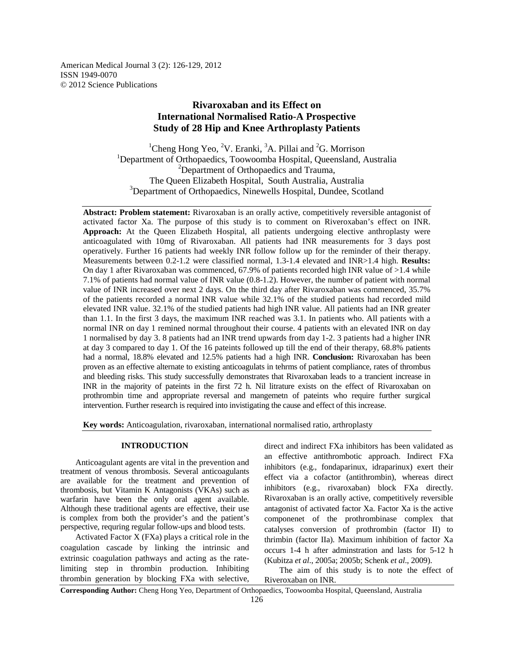American Medical Journal 3 (2): 126-129, 2012 ISSN 1949-0070 © 2012 Science Publications

# **Rivaroxaban and its Effect on International Normalised Ratio-A Prospective Study of 28 Hip and Knee Arthroplasty Patients**

<sup>1</sup>Cheng Hong Yeo, <sup>2</sup>V. Eranki, <sup>3</sup>A. Pillai and <sup>2</sup>G. Morrison <sup>1</sup>Department of Orthopaedics, Toowoomba Hospital, Queensland, Australia <sup>2</sup>Department of Orthopaedics and Trauma, The Queen Elizabeth Hospital, South Australia, Australia <sup>3</sup>Department of Orthopaedics, Ninewells Hospital, Dundee, Scotland

**Abstract: Problem statement:** Rivaroxaban is an orally active, competitively reversible antagonist of activated factor Xa. The purpose of this study is to comment on Riveroxaban's effect on INR. **Approach:** At the Queen Elizabeth Hospital, all patients undergoing elective anthroplasty were anticoagulated with 10mg of Rivaroxaban. All patients had INR measurements for 3 days post operatively. Further 16 patients had weekly INR follow follow up for the reminder of their therapy. Measurements between 0.2-1.2 were classified normal, 1.3-1.4 elevated and INR>1.4 high. **Results:**  On day 1 after Rivaroxaban was commenced, 67.9% of patients recorded high INR value of >1.4 while 7.1% of patients had normal value of INR value (0.8-1.2). However, the number of patient with normal value of INR increased over next 2 days. On the third day after Rivaroxaban was commenced, 35.7% of the patients recorded a normal INR value while 32.1% of the studied patients had recorded mild elevated INR value. 32.1% of the studied patients had high INR value. All patients had an INR greater than 1.1. In the first 3 days, the maximum INR reached was 3.1. In patients who. All patients with a normal INR on day 1 remined normal throughout their course. 4 patients with an elevated INR on day 1 normalised by day 3. 8 patients had an INR trend upwards from day 1-2. 3 patients had a higher INR at day 3 compared to day 1. Of the 16 pateints followed up till the end of their therapy, 68.8% patients had a normal, 18.8% elevated and 12.5% patients had a high INR. **Conclusion:** Rivaroxaban has been proven as an effective alternate to existing anticoagulats in tehrms of patient compliance, rates of thrombus and bleeding risks. This study successfully demonstrates that Rivaroxaban leads to a trancient increase in INR in the majority of pateints in the first 72 h. Nil litrature exists on the effect of Rivaroxaban on prothrombin time and appropriate reversal and mangemetn of pateints who require further surgical intervention. Further research is required into invistigating the cause and effect of this increase.

**Key words:** Anticoagulation, rivaroxaban, international normalised ratio, arthroplasty

## **INTRODUCTION**

 Anticoagulant agents are vital in the prevention and treatment of venous thrombosis. Several anticoagulants are available for the treatment and prevention of thrombosis, but Vitamin K Antagonists (VKAs) such as warfarin have been the only oral agent available. Although these traditional agents are effective, their use is complex from both the provider's and the patient's perspective, requring regular follow-ups and blood tests.

 Activated Factor X (FXa) plays a critical role in the coagulation cascade by linking the intrinsic and extrinsic coagulation pathways and acting as the ratelimiting step in thrombin production. Inhibiting thrombin generation by blocking FXa with selective,

direct and indirect FXa inhibitors has been validated as an effective antithrombotic approach. Indirect FXa inhibitors (e.g., fondaparinux, idraparinux) exert their effect via a cofactor (antithrombin), whereas direct inhibitors (e.g., rivaroxaban) block FXa directly. Rivaroxaban is an orally active, competitively reversible antagonist of activated factor Xa. Factor Xa is the active componenet of the prothrombinase complex that catalyses conversion of prothrombin (factor II) to thrimbin (factor IIa). Maximum inhibition of factor Xa occurs 1-4 h after adminstration and lasts for 5-12 h (Kubitza *et al*., 2005a; 2005b; Schenk *et al*., 2009).

 The aim of this study is to note the effect of Riveroxaban on INR.

**Corresponding Author:** Cheng Hong Yeo, Department of Orthopaedics, Toowoomba Hospital, Queensland, Australia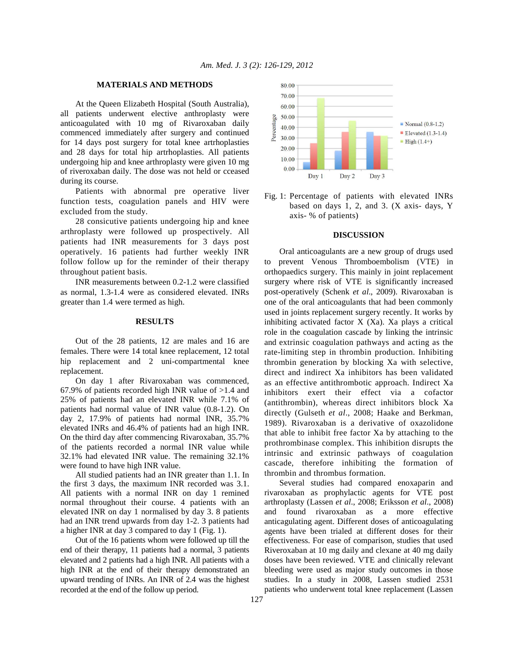## **MATERIALS AND METHODS**

 At the Queen Elizabeth Hospital (South Australia), all patients underwent elective anthroplasty were anticoagulated with 10 mg of Rivaroxaban daily commenced immediately after surgery and continued for 14 days post surgery for total knee artrhoplasties and 28 days for total hip artrhoplasties. All patients undergoing hip and knee arthroplasty were given 10 mg of riveroxaban daily. The dose was not held or cceased during its course.

 Patients with abnormal pre operative liver function tests, coagulation panels and HIV were excluded from the study.

 28 consicutive patients undergoing hip and knee arthroplasty were followed up prospectively. All patients had INR measurements for 3 days post operatively. 16 patients had further weekly INR follow follow up for the reminder of their therapy throughout patient basis.

 INR measurements between 0.2-1.2 were classified as normal, 1.3-1.4 were as considered elevated. INRs greater than 1.4 were termed as high.

#### **RESULTS**

 Out of the 28 patients, 12 are males and 16 are females. There were 14 total knee replacement, 12 total hip replacement and 2 uni-compartmental knee replacement.

 On day 1 after Rivaroxaban was commenced, 67.9% of patients recorded high INR value of  $>1.4$  and 25% of patients had an elevated INR while 7.1% of patients had normal value of INR value (0.8-1.2). On day 2, 17.9% of patients had normal INR, 35.7% elevated INRs and 46.4% of patients had an high INR. On the third day after commencing Rivaroxaban, 35.7% of the patients recorded a normal INR value while 32.1% had elevated INR value. The remaining 32.1% were found to have high INR value.

 All studied patients had an INR greater than 1.1. In the first 3 days, the maximum INR recorded was 3.1. All patients with a normal INR on day 1 remined normal throughout their course. 4 patients with an elevated INR on day 1 normalised by day 3. 8 patients had an INR trend upwards from day 1-2. 3 patients had a higher INR at day 3 compared to day 1 (Fig. 1).

 Out of the 16 patients whom were followed up till the end of their therapy, 11 patients had a normal, 3 patients elevated and 2 patients had a high INR. All patients with a high INR at the end of their therapy demonstrated an upward trending of INRs. An INR of 2.4 was the highest recorded at the end of the follow up period.



Fig. 1: Percentage of patients with elevated INRs based on days 1, 2, and 3. (X axis- days, Y axis- % of patients)

#### **DISCUSSION**

 Oral anticoagulants are a new group of drugs used to prevent Venous Thromboembolism (VTE) in orthopaedics surgery. This mainly in joint replacement surgery where risk of VTE is significantly increased post-operatively (Schenk *et al*., 2009). Rivaroxaban is one of the oral anticoagulants that had been commonly used in joints replacement surgery recently. It works by inhibiting activated factor X (Xa). Xa plays a critical role in the coagulation cascade by linking the intrinsic and extrinsic coagulation pathways and acting as the rate-limiting step in thrombin production. Inhibiting thrombin generation by blocking Xa with selective, direct and indirect Xa inhibitors has been validated as an effective antithrombotic approach. Indirect Xa inhibitors exert their effect via a cofactor (antithrombin), whereas direct inhibitors block Xa directly (Gulseth *et al*., 2008; Haake and Berkman, 1989). Rivaroxaban is a derivative of oxazolidone that able to inhibit free factor Xa by attaching to the prothrombinase complex. This inhibition disrupts the intrinsic and extrinsic pathways of coagulation cascade, therefore inhibiting the formation of thrombin and thrombus formation.

 Several studies had compared enoxaparin and rivaroxaban as prophylactic agents for VTE post arthroplasty (Lassen *et al*., 2008; Eriksson *et al*., 2008) and found rivaroxaban as a more effective anticagulating agent. Different doses of anticoagulating agents have been trialed at different doses for their effectiveness. For ease of comparison, studies that used Riveroxaban at 10 mg daily and clexane at 40 mg daily doses have been reviewed. VTE and clinically relevant bleeding were used as major study outcomes in those studies. In a study in 2008, Lassen studied 2531 patients who underwent total knee replacement (Lassen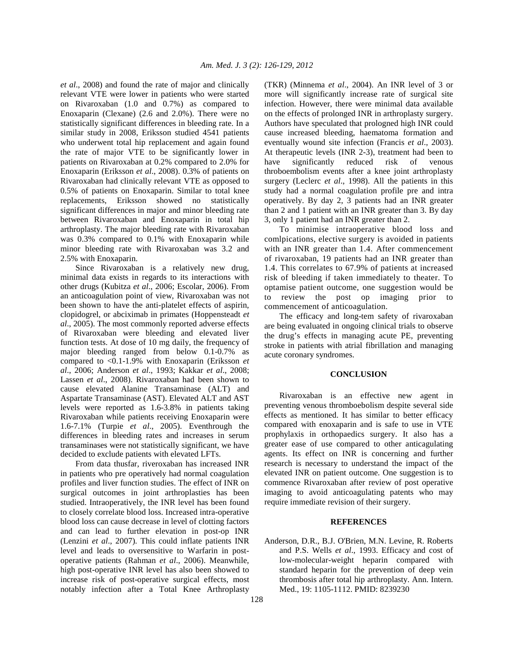*et al*., 2008) and found the rate of major and clinically relevant VTE were lower in patients who were started on Rivaroxaban (1.0 and 0.7%) as compared to Enoxaparin (Clexane) (2.6 and 2.0%). There were no statistically significant differences in bleeding rate. In a similar study in 2008, Eriksson studied 4541 patients who underwent total hip replacement and again found the rate of major VTE to be significantly lower in patients on Rivaroxaban at 0.2% compared to 2.0% for Enoxaparin (Eriksson *et al*., 2008). 0.3% of patients on Rivaroxaban had clinically relevant VTE as opposed to 0.5% of patients on Enoxaparin. Similar to total knee replacements, Eriksson showed no statistically significant differences in major and minor bleeding rate between Rivaroxaban and Enoxaparin in total hip arthroplasty. The major bleeding rate with Rivaroxaban was 0.3% compared to 0.1% with Enoxaparin while minor bleeding rate with Rivaroxaban was 3.2 and 2.5% with Enoxaparin.

 Since Rivaroxaban is a relatively new drug, minimal data exists in regards to its interactions with other drugs (Kubitza *et al*., 2006; Escolar, 2006). From an anticoagulation point of view, Rivaroxaban was not been shown to have the anti-platelet effects of aspirin, clopidogrel, or abciximab in primates (Hoppensteadt *et al*., 2005). The most commonly reported adverse effects of Rivaroxaban were bleeding and elevated liver function tests. At dose of 10 mg daily, the frequency of major bleeding ranged from below 0.1-0.7% as compared to <0.1-1.9% with Enoxaparin (Eriksson *et al*., 2006; Anderson *et al*., 1993; Kakkar *et al*., 2008; Lassen *et al*., 2008). Rivaroxaban had been shown to cause elevated Alanine Transaminase (ALT) and Aspartate Transaminase (AST). Elevated ALT and AST levels were reported as 1.6-3.8% in patients taking Rivaroxaban while patients receiving Enoxaparin were 1.6-7.1% (Turpie *et al*., 2005). Eventhrough the differences in bleeding rates and increases in serum transaminases were not statistically significant, we have decided to exclude patients with elevated LFTs.

 From data thusfar, riveroxaban has increased INR in patients who pre operatively had normal coagulation profiles and liver function studies. The effect of INR on surgical outcomes in joint arthroplasties has been studied. Intraoperatively, the INR level has been found to closely correlate blood loss. Increased intra-operative blood loss can cause decrease in level of clotting factors and can lead to further elevation in post-op INR (Lenzini *et al*., 2007). This could inflate patients INR level and leads to oversensitive to Warfarin in postoperative patients (Rahman *et al*., 2006). Meanwhile, high post-operative INR level has also been showed to increase risk of post-operative surgical effects, most notably infection after a Total Knee Arthroplasty (TKR) (Minnema *et al*., 2004). An INR level of 3 or more will significantly increase rate of surgical site infection. However, there were minimal data available on the effects of prolonged INR in arthroplasty surgery. Authors have speculated that prologned high INR could cause increased bleeding, haematoma formation and eventually wound site infection (Francis *et al*., 2003). At therapeutic levels (INR 2-3), treatment had been to have significantly reduced risk of venous throboembolism events after a knee joint arthroplasty surgery (Leclerc *et al*., 1998). All the patients in this study had a normal coagulation profile pre and intra operatively. By day 2, 3 patients had an INR greater than 2 and 1 patient with an INR greater than 3. By day 3, only 1 patient had an INR greater than 2.

 To minimise intraoperative blood loss and comlpications, elective surgery is avoided in patients with an INR greater than 1.4. After commencement of rivaroxaban, 19 patients had an INR greater than 1.4. This correlates to 67.9% of patients at increased risk of bleeding if taken immediately to theater. To optamise patient outcome, one suggestion would be to review the post op imaging prior to commencement of anticoagulation.

 The efficacy and long-tem safety of rivaroxaban are being evaluated in ongoing clinical trials to observe the drug's effects in managing acute PE, preventing stroke in patients with atrial fibrillation and managing acute coronary syndromes.

#### **CONCLUSION**

 Rivaroxaban is an effective new agent in preventing venous thromboebolism despite several side effects as mentioned. It has similar to better efficacy compared with enoxaparin and is safe to use in VTE prophylaxis in orthopaedics surgery. It also has a greater ease of use compared to other anticagulating agents. Its effect on INR is concerning and further research is necessary to understand the impact of the elevated INR on patient outcome. One suggestion is to commence Rivaroxaban after review of post operative imaging to avoid anticoagulating patents who may require immediate revision of their surgery.

# **REFERENCES**

Anderson, D.R., B.J. O'Brien, M.N. Levine, R. Roberts and P.S. Wells *et al*., 1993. Efficacy and cost of low-molecular-weight heparin compared with standard heparin for the prevention of deep vein thrombosis after total hip arthroplasty. Ann. Intern. Med., 19: 1105-1112. PMID: 8239230